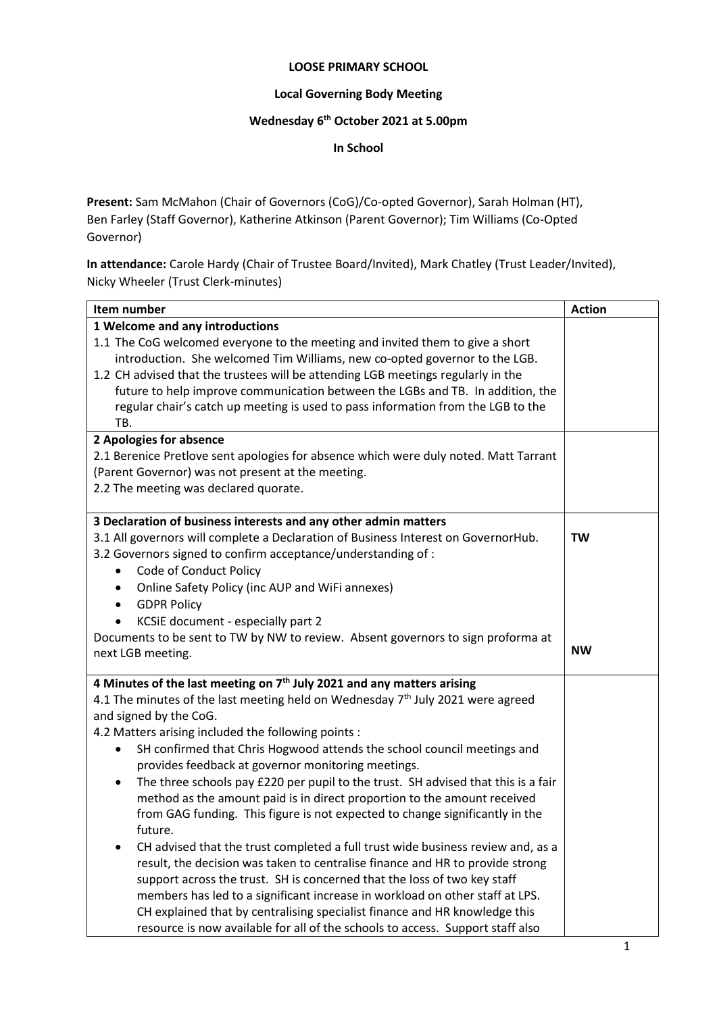#### **LOOSE PRIMARY SCHOOL**

### **Local Governing Body Meeting**

#### **Wednesday 6 th October 2021 at 5.00pm**

**In School**

**Present:** Sam McMahon (Chair of Governors (CoG)/Co-opted Governor), Sarah Holman (HT), Ben Farley (Staff Governor), Katherine Atkinson (Parent Governor); Tim Williams (Co-Opted Governor)

**In attendance:** Carole Hardy (Chair of Trustee Board/Invited), Mark Chatley (Trust Leader/Invited), Nicky Wheeler (Trust Clerk-minutes)

| Item number                                                                                    | <b>Action</b> |
|------------------------------------------------------------------------------------------------|---------------|
| 1 Welcome and any introductions                                                                |               |
| 1.1 The CoG welcomed everyone to the meeting and invited them to give a short                  |               |
| introduction. She welcomed Tim Williams, new co-opted governor to the LGB.                     |               |
| 1.2 CH advised that the trustees will be attending LGB meetings regularly in the               |               |
| future to help improve communication between the LGBs and TB. In addition, the                 |               |
| regular chair's catch up meeting is used to pass information from the LGB to the               |               |
| TB.                                                                                            |               |
| 2 Apologies for absence                                                                        |               |
| 2.1 Berenice Pretlove sent apologies for absence which were duly noted. Matt Tarrant           |               |
| (Parent Governor) was not present at the meeting.                                              |               |
| 2.2 The meeting was declared quorate.                                                          |               |
| 3 Declaration of business interests and any other admin matters                                |               |
| 3.1 All governors will complete a Declaration of Business Interest on GovernorHub.             | TW            |
| 3.2 Governors signed to confirm acceptance/understanding of :                                  |               |
| Code of Conduct Policy                                                                         |               |
| Online Safety Policy (inc AUP and WiFi annexes)<br>٠                                           |               |
| <b>GDPR Policy</b><br>$\bullet$                                                                |               |
| KCSiE document - especially part 2                                                             |               |
| Documents to be sent to TW by NW to review. Absent governors to sign proforma at               |               |
| next LGB meeting.                                                                              | <b>NW</b>     |
| 4 Minutes of the last meeting on $7th$ July 2021 and any matters arising                       |               |
| 4.1 The minutes of the last meeting held on Wednesday $7th$ July 2021 were agreed              |               |
| and signed by the CoG.                                                                         |               |
| 4.2 Matters arising included the following points :                                            |               |
| SH confirmed that Chris Hogwood attends the school council meetings and<br>٠                   |               |
| provides feedback at governor monitoring meetings.                                             |               |
| The three schools pay £220 per pupil to the trust. SH advised that this is a fair<br>$\bullet$ |               |
| method as the amount paid is in direct proportion to the amount received                       |               |
| from GAG funding. This figure is not expected to change significantly in the                   |               |
| future.                                                                                        |               |
| CH advised that the trust completed a full trust wide business review and, as a                |               |
| result, the decision was taken to centralise finance and HR to provide strong                  |               |
| support across the trust. SH is concerned that the loss of two key staff                       |               |
| members has led to a significant increase in workload on other staff at LPS.                   |               |
| CH explained that by centralising specialist finance and HR knowledge this                     |               |
| resource is now available for all of the schools to access. Support staff also                 |               |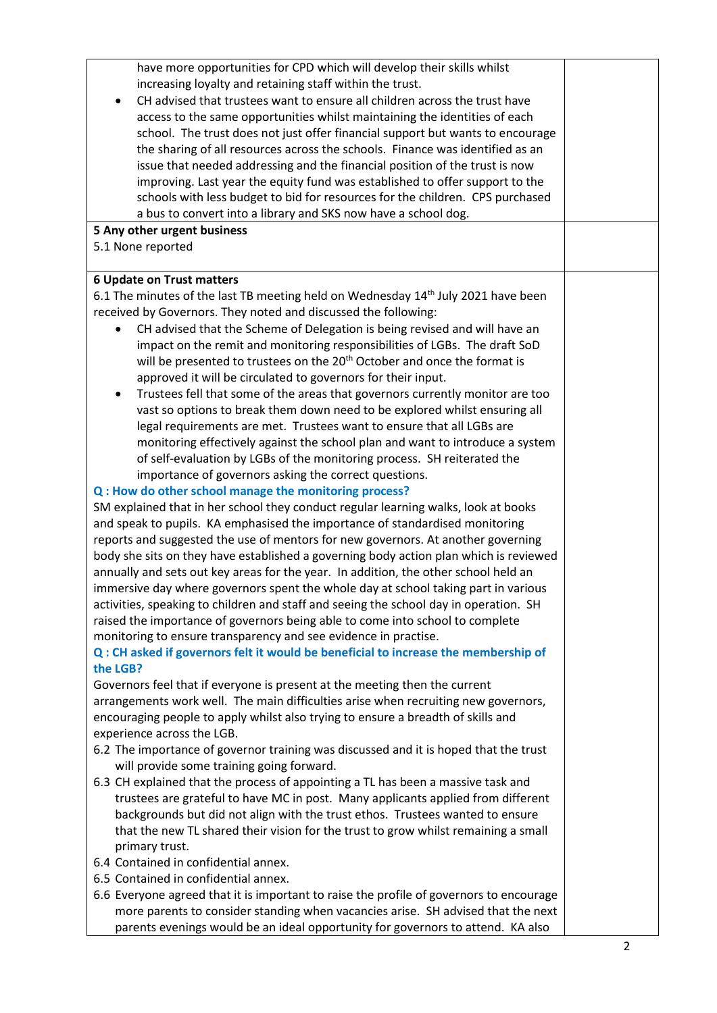have more opportunities for CPD which will develop their skills whilst increasing loyalty and retaining staff within the trust. CH advised that trustees want to ensure all children across the trust have access to the same opportunities whilst maintaining the identities of each school. The trust does not just offer financial support but wants to encourage the sharing of all resources across the schools. Finance was identified as an issue that needed addressing and the financial position of the trust is now improving. Last year the equity fund was established to offer support to the schools with less budget to bid for resources for the children. CPS purchased a bus to convert into a library and SKS now have a school dog. **5 Any other urgent business** 5.1 None reported **6 Update on Trust matters** 6.1 The minutes of the last TB meeting held on Wednesday 14<sup>th</sup> July 2021 have been received by Governors. They noted and discussed the following: CH advised that the Scheme of Delegation is being revised and will have an impact on the remit and monitoring responsibilities of LGBs. The draft SoD will be presented to trustees on the 20<sup>th</sup> October and once the format is approved it will be circulated to governors for their input. Trustees fell that some of the areas that governors currently monitor are too vast so options to break them down need to be explored whilst ensuring all legal requirements are met. Trustees want to ensure that all LGBs are monitoring effectively against the school plan and want to introduce a system of self-evaluation by LGBs of the monitoring process. SH reiterated the importance of governors asking the correct questions. **Q : How do other school manage the monitoring process?** SM explained that in her school they conduct regular learning walks, look at books and speak to pupils. KA emphasised the importance of standardised monitoring reports and suggested the use of mentors for new governors. At another governing body she sits on they have established a governing body action plan which is reviewed annually and sets out key areas for the year. In addition, the other school held an immersive day where governors spent the whole day at school taking part in various activities, speaking to children and staff and seeing the school day in operation. SH raised the importance of governors being able to come into school to complete monitoring to ensure transparency and see evidence in practise. **Q : CH asked if governors felt it would be beneficial to increase the membership of the LGB?** Governors feel that if everyone is present at the meeting then the current arrangements work well. The main difficulties arise when recruiting new governors, encouraging people to apply whilst also trying to ensure a breadth of skills and experience across the LGB. 6.2 The importance of governor training was discussed and it is hoped that the trust will provide some training going forward. 6.3 CH explained that the process of appointing a TL has been a massive task and trustees are grateful to have MC in post. Many applicants applied from different backgrounds but did not align with the trust ethos. Trustees wanted to ensure that the new TL shared their vision for the trust to grow whilst remaining a small primary trust.

- 6.4 Contained in confidential annex.
- 6.5 Contained in confidential annex.
- 6.6 Everyone agreed that it is important to raise the profile of governors to encourage more parents to consider standing when vacancies arise. SH advised that the next parents evenings would be an ideal opportunity for governors to attend. KA also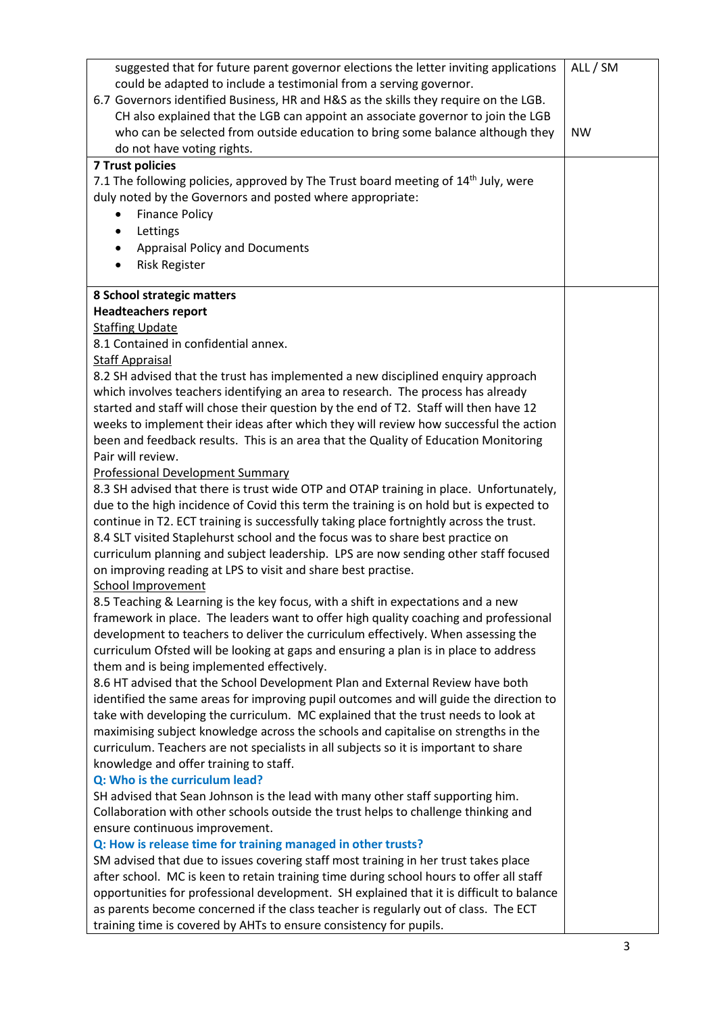| suggested that for future parent governor elections the letter inviting applications<br>could be adapted to include a testimonial from a serving governor.<br>6.7 Governors identified Business, HR and H&S as the skills they require on the LGB.<br>CH also explained that the LGB can appoint an associate governor to join the LGB<br>who can be selected from outside education to bring some balance although they | ALL / SM<br><b>NW</b> |
|--------------------------------------------------------------------------------------------------------------------------------------------------------------------------------------------------------------------------------------------------------------------------------------------------------------------------------------------------------------------------------------------------------------------------|-----------------------|
| do not have voting rights.                                                                                                                                                                                                                                                                                                                                                                                               |                       |
| <b>7 Trust policies</b>                                                                                                                                                                                                                                                                                                                                                                                                  |                       |
| 7.1 The following policies, approved by The Trust board meeting of 14 <sup>th</sup> July, were                                                                                                                                                                                                                                                                                                                           |                       |
| duly noted by the Governors and posted where appropriate:                                                                                                                                                                                                                                                                                                                                                                |                       |
| <b>Finance Policy</b>                                                                                                                                                                                                                                                                                                                                                                                                    |                       |
| Lettings<br>٠                                                                                                                                                                                                                                                                                                                                                                                                            |                       |
| <b>Appraisal Policy and Documents</b><br>$\bullet$                                                                                                                                                                                                                                                                                                                                                                       |                       |
| <b>Risk Register</b>                                                                                                                                                                                                                                                                                                                                                                                                     |                       |
| 8 School strategic matters                                                                                                                                                                                                                                                                                                                                                                                               |                       |
| <b>Headteachers report</b>                                                                                                                                                                                                                                                                                                                                                                                               |                       |
| <b>Staffing Update</b>                                                                                                                                                                                                                                                                                                                                                                                                   |                       |
| 8.1 Contained in confidential annex.                                                                                                                                                                                                                                                                                                                                                                                     |                       |
| <b>Staff Appraisal</b>                                                                                                                                                                                                                                                                                                                                                                                                   |                       |
| 8.2 SH advised that the trust has implemented a new disciplined enquiry approach                                                                                                                                                                                                                                                                                                                                         |                       |
| which involves teachers identifying an area to research. The process has already                                                                                                                                                                                                                                                                                                                                         |                       |
| started and staff will chose their question by the end of T2. Staff will then have 12                                                                                                                                                                                                                                                                                                                                    |                       |
| weeks to implement their ideas after which they will review how successful the action                                                                                                                                                                                                                                                                                                                                    |                       |
| been and feedback results. This is an area that the Quality of Education Monitoring                                                                                                                                                                                                                                                                                                                                      |                       |
| Pair will review.                                                                                                                                                                                                                                                                                                                                                                                                        |                       |
| <b>Professional Development Summary</b>                                                                                                                                                                                                                                                                                                                                                                                  |                       |
| 8.3 SH advised that there is trust wide OTP and OTAP training in place. Unfortunately,                                                                                                                                                                                                                                                                                                                                   |                       |
| due to the high incidence of Covid this term the training is on hold but is expected to                                                                                                                                                                                                                                                                                                                                  |                       |
| continue in T2. ECT training is successfully taking place fortnightly across the trust.                                                                                                                                                                                                                                                                                                                                  |                       |
| 8.4 SLT visited Staplehurst school and the focus was to share best practice on                                                                                                                                                                                                                                                                                                                                           |                       |
| curriculum planning and subject leadership. LPS are now sending other staff focused                                                                                                                                                                                                                                                                                                                                      |                       |
| on improving reading at LPS to visit and share best practise.                                                                                                                                                                                                                                                                                                                                                            |                       |
| <b>School Improvement</b>                                                                                                                                                                                                                                                                                                                                                                                                |                       |
| 8.5 Teaching & Learning is the key focus, with a shift in expectations and a new                                                                                                                                                                                                                                                                                                                                         |                       |
| framework in place. The leaders want to offer high quality coaching and professional                                                                                                                                                                                                                                                                                                                                     |                       |
| development to teachers to deliver the curriculum effectively. When assessing the                                                                                                                                                                                                                                                                                                                                        |                       |
| curriculum Ofsted will be looking at gaps and ensuring a plan is in place to address                                                                                                                                                                                                                                                                                                                                     |                       |
| them and is being implemented effectively.                                                                                                                                                                                                                                                                                                                                                                               |                       |
| 8.6 HT advised that the School Development Plan and External Review have both                                                                                                                                                                                                                                                                                                                                            |                       |
| identified the same areas for improving pupil outcomes and will guide the direction to                                                                                                                                                                                                                                                                                                                                   |                       |
| take with developing the curriculum. MC explained that the trust needs to look at                                                                                                                                                                                                                                                                                                                                        |                       |
| maximising subject knowledge across the schools and capitalise on strengths in the                                                                                                                                                                                                                                                                                                                                       |                       |
| curriculum. Teachers are not specialists in all subjects so it is important to share                                                                                                                                                                                                                                                                                                                                     |                       |
| knowledge and offer training to staff.                                                                                                                                                                                                                                                                                                                                                                                   |                       |
| Q: Who is the curriculum lead?                                                                                                                                                                                                                                                                                                                                                                                           |                       |
| SH advised that Sean Johnson is the lead with many other staff supporting him.                                                                                                                                                                                                                                                                                                                                           |                       |
| Collaboration with other schools outside the trust helps to challenge thinking and                                                                                                                                                                                                                                                                                                                                       |                       |
| ensure continuous improvement.                                                                                                                                                                                                                                                                                                                                                                                           |                       |
| Q: How is release time for training managed in other trusts?                                                                                                                                                                                                                                                                                                                                                             |                       |
| SM advised that due to issues covering staff most training in her trust takes place                                                                                                                                                                                                                                                                                                                                      |                       |
| after school. MC is keen to retain training time during school hours to offer all staff                                                                                                                                                                                                                                                                                                                                  |                       |
| opportunities for professional development. SH explained that it is difficult to balance<br>as parents become concerned if the class teacher is regularly out of class. The ECT                                                                                                                                                                                                                                          |                       |
| training time is covered by AHTs to ensure consistency for pupils.                                                                                                                                                                                                                                                                                                                                                       |                       |
|                                                                                                                                                                                                                                                                                                                                                                                                                          |                       |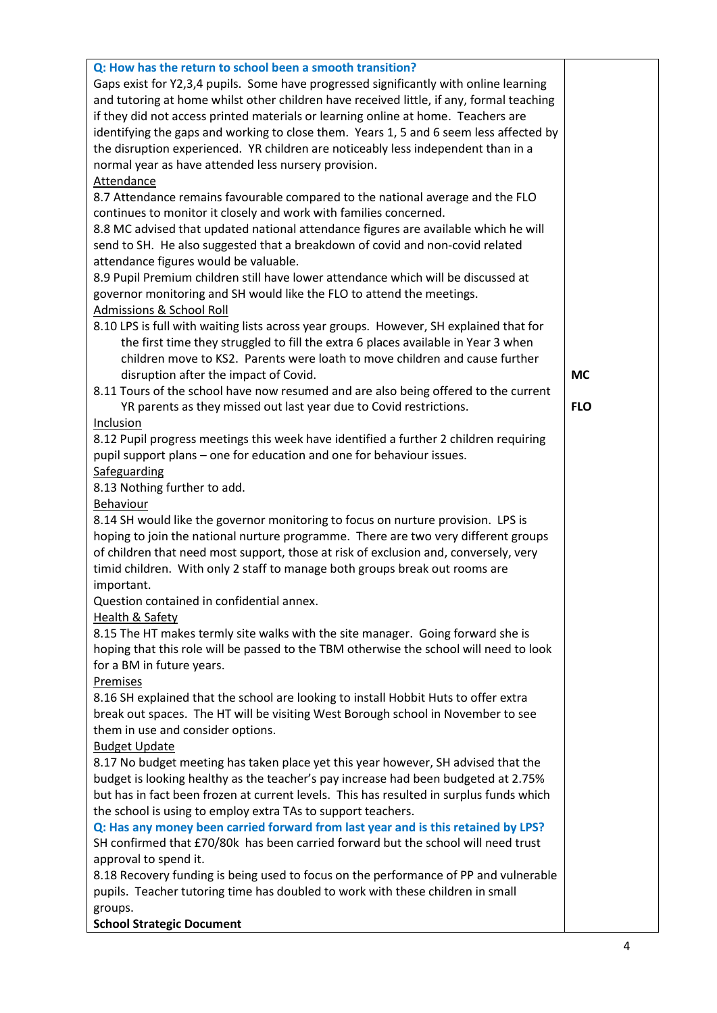| Q: How has the return to school been a smooth transition?                                |            |
|------------------------------------------------------------------------------------------|------------|
| Gaps exist for Y2,3,4 pupils. Some have progressed significantly with online learning    |            |
| and tutoring at home whilst other children have received little, if any, formal teaching |            |
| if they did not access printed materials or learning online at home. Teachers are        |            |
| identifying the gaps and working to close them. Years 1, 5 and 6 seem less affected by   |            |
| the disruption experienced. YR children are noticeably less independent than in a        |            |
|                                                                                          |            |
| normal year as have attended less nursery provision.                                     |            |
| <b>Attendance</b>                                                                        |            |
| 8.7 Attendance remains favourable compared to the national average and the FLO           |            |
| continues to monitor it closely and work with families concerned.                        |            |
| 8.8 MC advised that updated national attendance figures are available which he will      |            |
| send to SH. He also suggested that a breakdown of covid and non-covid related            |            |
| attendance figures would be valuable.                                                    |            |
| 8.9 Pupil Premium children still have lower attendance which will be discussed at        |            |
| governor monitoring and SH would like the FLO to attend the meetings.                    |            |
| Admissions & School Roll                                                                 |            |
| 8.10 LPS is full with waiting lists across year groups. However, SH explained that for   |            |
| the first time they struggled to fill the extra 6 places available in Year 3 when        |            |
| children move to KS2. Parents were loath to move children and cause further              |            |
|                                                                                          | <b>MC</b>  |
| disruption after the impact of Covid.                                                    |            |
| 8.11 Tours of the school have now resumed and are also being offered to the current      |            |
| YR parents as they missed out last year due to Covid restrictions.                       | <b>FLO</b> |
| Inclusion                                                                                |            |
| 8.12 Pupil progress meetings this week have identified a further 2 children requiring    |            |
| pupil support plans - one for education and one for behaviour issues.                    |            |
| Safeguarding                                                                             |            |
| 8.13 Nothing further to add.                                                             |            |
| Behaviour                                                                                |            |
| 8.14 SH would like the governor monitoring to focus on nurture provision. LPS is         |            |
| hoping to join the national nurture programme. There are two very different groups       |            |
| of children that need most support, those at risk of exclusion and, conversely, very     |            |
| timid children. With only 2 staff to manage both groups break out rooms are              |            |
| important.                                                                               |            |
| Question contained in confidential annex.                                                |            |
| <b>Health &amp; Safety</b>                                                               |            |
| 8.15 The HT makes termly site walks with the site manager. Going forward she is          |            |
| hoping that this role will be passed to the TBM otherwise the school will need to look   |            |
|                                                                                          |            |
| for a BM in future years.                                                                |            |
| Premises                                                                                 |            |
| 8.16 SH explained that the school are looking to install Hobbit Huts to offer extra      |            |
| break out spaces. The HT will be visiting West Borough school in November to see         |            |
| them in use and consider options.                                                        |            |
| <b>Budget Update</b>                                                                     |            |
| 8.17 No budget meeting has taken place yet this year however, SH advised that the        |            |
| budget is looking healthy as the teacher's pay increase had been budgeted at 2.75%       |            |
| but has in fact been frozen at current levels. This has resulted in surplus funds which  |            |
| the school is using to employ extra TAs to support teachers.                             |            |
| Q: Has any money been carried forward from last year and is this retained by LPS?        |            |
| SH confirmed that £70/80k has been carried forward but the school will need trust        |            |
| approval to spend it.                                                                    |            |
| 8.18 Recovery funding is being used to focus on the performance of PP and vulnerable     |            |
| pupils. Teacher tutoring time has doubled to work with these children in small           |            |
| groups.                                                                                  |            |
| <b>School Strategic Document</b>                                                         |            |
|                                                                                          |            |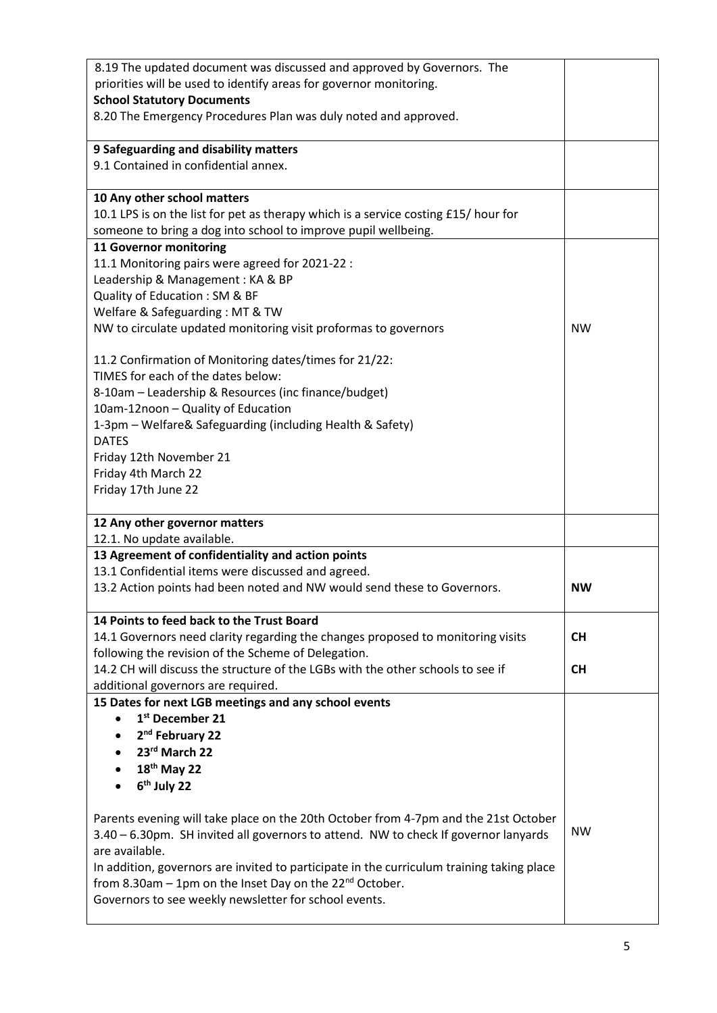| 8.19 The updated document was discussed and approved by Governors. The                                                         |           |
|--------------------------------------------------------------------------------------------------------------------------------|-----------|
| priorities will be used to identify areas for governor monitoring.                                                             |           |
| <b>School Statutory Documents</b>                                                                                              |           |
| 8.20 The Emergency Procedures Plan was duly noted and approved.                                                                |           |
| 9 Safeguarding and disability matters                                                                                          |           |
| 9.1 Contained in confidential annex.                                                                                           |           |
|                                                                                                                                |           |
| 10 Any other school matters                                                                                                    |           |
| 10.1 LPS is on the list for pet as therapy which is a service costing £15/ hour for                                            |           |
| someone to bring a dog into school to improve pupil wellbeing.                                                                 |           |
| 11 Governor monitoring                                                                                                         |           |
| 11.1 Monitoring pairs were agreed for 2021-22 :                                                                                |           |
| Leadership & Management: KA & BP                                                                                               |           |
| Quality of Education: SM & BF                                                                                                  |           |
| Welfare & Safeguarding: MT & TW                                                                                                |           |
| NW to circulate updated monitoring visit proformas to governors                                                                | <b>NW</b> |
| 11.2 Confirmation of Monitoring dates/times for 21/22:                                                                         |           |
| TIMES for each of the dates below:                                                                                             |           |
| 8-10am - Leadership & Resources (inc finance/budget)                                                                           |           |
| 10am-12noon - Quality of Education                                                                                             |           |
| 1-3pm - Welfare& Safeguarding (including Health & Safety)                                                                      |           |
| <b>DATES</b>                                                                                                                   |           |
| Friday 12th November 21                                                                                                        |           |
| Friday 4th March 22                                                                                                            |           |
| Friday 17th June 22                                                                                                            |           |
| 12 Any other governor matters                                                                                                  |           |
| 12.1. No update available.                                                                                                     |           |
| 13 Agreement of confidentiality and action points                                                                              |           |
| 13.1 Confidential items were discussed and agreed.                                                                             |           |
| 13.2 Action points had been noted and NW would send these to Governors.                                                        | <b>NW</b> |
| 14 Points to feed back to the Trust Board                                                                                      |           |
| 14.1 Governors need clarity regarding the changes proposed to monitoring visits                                                | <b>CH</b> |
| following the revision of the Scheme of Delegation.                                                                            |           |
| 14.2 CH will discuss the structure of the LGBs with the other schools to see if                                                | <b>CH</b> |
| additional governors are required.                                                                                             |           |
| 15 Dates for next LGB meetings and any school events                                                                           |           |
| 1st December 21                                                                                                                |           |
| 2 <sup>nd</sup> February 22                                                                                                    |           |
| 23rd March 22                                                                                                                  |           |
| $18th$ May 22                                                                                                                  |           |
| 6 <sup>th</sup> July 22                                                                                                        |           |
| Parents evening will take place on the 20th October from 4-7pm and the 21st October                                            |           |
|                                                                                                                                |           |
|                                                                                                                                | <b>NW</b> |
| 3.40 - 6.30pm. SH invited all governors to attend. NW to check If governor lanyards                                            |           |
| are available.                                                                                                                 |           |
| In addition, governors are invited to participate in the curriculum training taking place                                      |           |
| from 8.30am $-$ 1pm on the Inset Day on the 22 <sup>nd</sup> October.<br>Governors to see weekly newsletter for school events. |           |